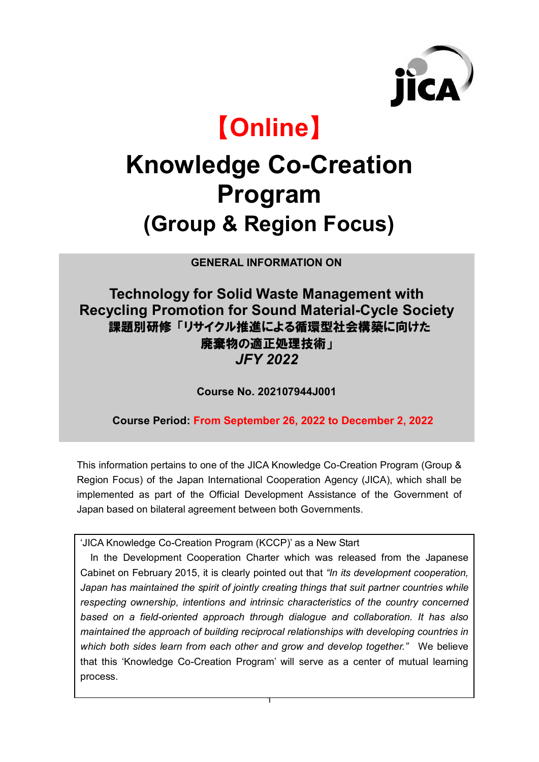

# 【**Online**】

# **Knowledge Co-Creation Program (Group & Region Focus)**

**GENERAL INFORMATION ON**

## **Technology for Solid Waste Management with Recycling Promotion for Sound Material-Cycle Society** 課題別研修 「リサイクル推進による循環型社会構築に向けた 廃棄物の適正処理技術」 *JFY 2022*

**Course No. 202107944J001**

**Course Period: From September 26, 2022 to December 2, 2022**

This information pertains to one of the JICA Knowledge Co-Creation Program (Group & Region Focus) of the Japan International Cooperation Agency (JICA), which shall be implemented as part of the Official Development Assistance of the Government of Japan based on bilateral agreement between both Governments.

'JICA Knowledge Co-Creation Program (KCCP)' as a New Start

In the Development Cooperation Charter which was released from the Japanese Cabinet on February 2015, it is clearly pointed out that *"In its development cooperation,*  Japan has maintained the spirit of jointly creating things that suit partner countries while *respecting ownership, intentions and intrinsic characteristics of the country concerned based on a field-oriented approach through dialogue and collaboration. It has also maintained the approach of building reciprocal relationships with developing countries in which both sides learn from each other and grow and develop together."* We believe that this 'Knowledge Co-Creation Program' will serve as a center of mutual learning process.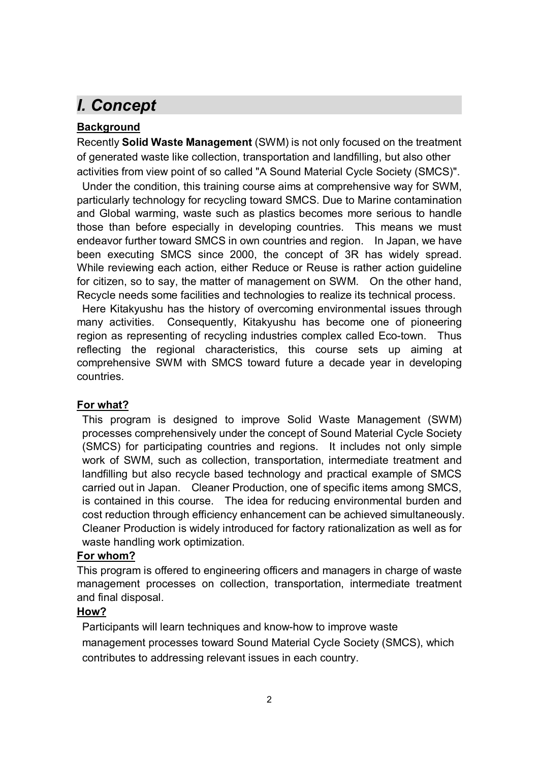# *I. Concept*

### **Background**

Recently **Solid Waste Management** (SWM) is not only focused on the treatment of generated waste like collection, transportation and landfilling, but also other activities from view point of so called "A Sound Material Cycle Society (SMCS)".

Under the condition, this training course aims at comprehensive way for SWM, particularly technology for recycling toward SMCS. Due to Marine contamination and Global warming, waste such as plastics becomes more serious to handle those than before especially in developing countries. This means we must endeavor further toward SMCS in own countries and region. In Japan, we have been executing SMCS since 2000, the concept of 3R has widely spread. While reviewing each action, either Reduce or Reuse is rather action guideline for citizen, so to say, the matter of management on SWM. On the other hand, Recycle needs some facilities and technologies to realize its technical process.

Here Kitakyushu has the history of overcoming environmental issues through many activities. Consequently, Kitakyushu has become one of pioneering region as representing of recycling industries complex called Eco-town. Thus reflecting the regional characteristics, this course sets up aiming at comprehensive SWM with SMCS toward future a decade year in developing countries.

#### **For what?**

This program is designed to improve Solid Waste Management (SWM) processes comprehensively under the concept of Sound Material Cycle Society (SMCS) for participating countries and regions. It includes not only simple work of SWM, such as collection, transportation, intermediate treatment and landfilling but also recycle based technology and practical example of SMCS carried out in Japan. Cleaner Production, one of specific items among SMCS, is contained in this course. The idea for reducing environmental burden and cost reduction through efficiency enhancement can be achieved simultaneously. Cleaner Production is widely introduced for factory rationalization as well as for waste handling work optimization.

#### **For whom?**

This program is offered to engineering officers and managers in charge of waste management processes on collection, transportation, intermediate treatment and final disposal.

#### **How?**

Participants will learn techniques and know-how to improve waste management processes toward Sound Material Cycle Society (SMCS), which contributes to addressing relevant issues in each country.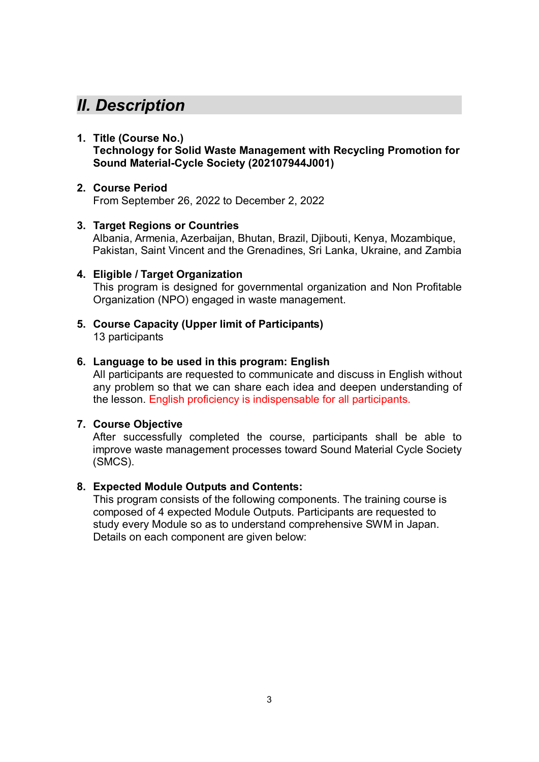## *II. Description*

#### **1. Title (Course No.)**

**Technology for Solid Waste Management with Recycling Promotion for Sound Material-Cycle Society (202107944J001)**

#### **2. Course Period**

From September 26, 2022 to December 2, 2022

#### **3. Target Regions or Countries**

Albania, Armenia, Azerbaijan, Bhutan, Brazil, Djibouti, Kenya, Mozambique, Pakistan, Saint Vincent and the Grenadines, Sri Lanka, Ukraine, and Zambia

#### **4. Eligible / Target Organization**

This program is designed for governmental organization and Non Profitable Organization (NPO) engaged in waste management.

**5. Course Capacity (Upper limit of Participants)** 13 participants

#### **6. Language to be used in this program: English**

All participants are requested to communicate and discuss in English without any problem so that we can share each idea and deepen understanding of the lesson. English proficiency is indispensable for all participants.

#### **7. Course Objective**

After successfully completed the course, participants shall be able to improve waste management processes toward Sound Material Cycle Society (SMCS).

#### **8. Expected Module Outputs and Contents:**

This program consists of the following components. The training course is composed of 4 expected Module Outputs. Participants are requested to study every Module so as to understand comprehensive SWM in Japan. Details on each component are given below: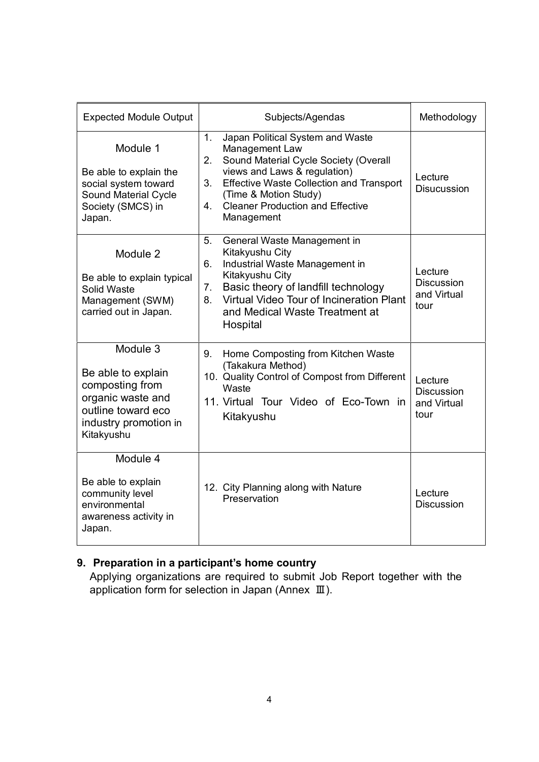| <b>Expected Module Output</b>                                                                                                       | Subjects/Agendas                                                                                                                                                                                                                                                                        | Methodology                                         |
|-------------------------------------------------------------------------------------------------------------------------------------|-----------------------------------------------------------------------------------------------------------------------------------------------------------------------------------------------------------------------------------------------------------------------------------------|-----------------------------------------------------|
| Module 1<br>Be able to explain the<br>social system toward<br><b>Sound Material Cycle</b><br>Society (SMCS) in<br>Japan.            | Japan Political System and Waste<br>1.<br>Management Law<br>Sound Material Cycle Society (Overall<br>2.<br>views and Laws & regulation)<br><b>Effective Waste Collection and Transport</b><br>3.<br>(Time & Motion Study)<br><b>Cleaner Production and Effective</b><br>4<br>Management | Lecture<br><b>Disucussion</b>                       |
| Module 2<br>Be able to explain typical<br>Solid Waste<br>Management (SWM)<br>carried out in Japan.                                  | 5.<br>General Waste Management in<br>Kitakyushu City<br>Industrial Waste Management in<br>6.<br>Kitakyushu City<br>Basic theory of landfill technology<br>7.<br>Virtual Video Tour of Incineration Plant<br>8.<br>and Medical Waste Treatment at<br>Hospital                            | Lecture<br><b>Discussion</b><br>and Virtual<br>tour |
| Module 3<br>Be able to explain<br>composting from<br>organic waste and<br>outline toward eco<br>industry promotion in<br>Kitakyushu | Home Composting from Kitchen Waste<br>9.<br>(Takakura Method)<br>10. Quality Control of Compost from Different<br>Waste<br>11. Virtual Tour Video of Eco-Town in<br>Kitakyushu                                                                                                          | Lecture<br><b>Discussion</b><br>and Virtual<br>tour |
| Module 4<br>Be able to explain<br>community level<br>environmental<br>awareness activity in<br>Japan.                               | 12. City Planning along with Nature<br>Preservation                                                                                                                                                                                                                                     | Lecture<br><b>Discussion</b>                        |

## **9. Preparation in a participant's home country**

Applying organizations are required to submit Job Report together with the application form for selection in Japan (Annex Ⅲ).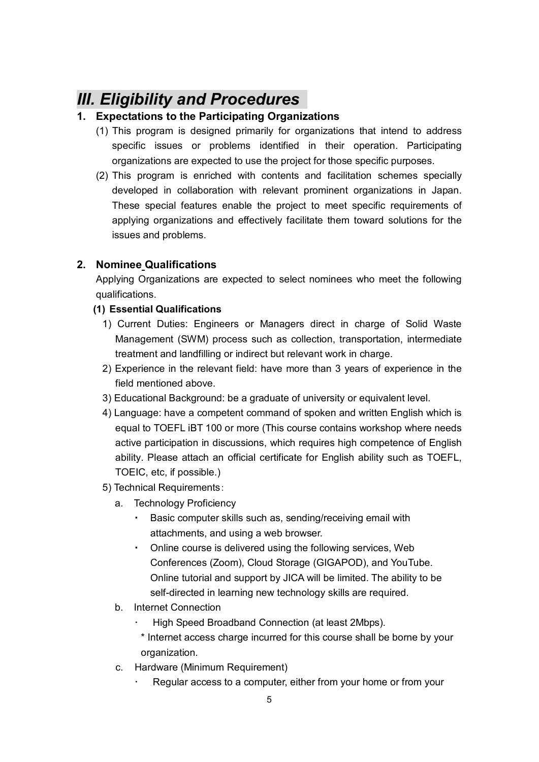## *III. Eligibility and Procedures*

#### **1. Expectations to the Participating Organizations**

- (1) This program is designed primarily for organizations that intend to address specific issues or problems identified in their operation. Participating organizations are expected to use the project for those specific purposes.
- (2) This program is enriched with contents and facilitation schemes specially developed in collaboration with relevant prominent organizations in Japan. These special features enable the project to meet specific requirements of applying organizations and effectively facilitate them toward solutions for the issues and problems.

#### **2. Nominee Qualifications**

Applying Organizations are expected to select nominees who meet the following qualifications.

#### **(1) Essential Qualifications**

- 1) Current Duties: Engineers or Managers direct in charge of Solid Waste Management (SWM) process such as collection, transportation, intermediate treatment and landfilling or indirect but relevant work in charge.
- 2) Experience in the relevant field: have more than 3 years of experience in the field mentioned above.
- 3) Educational Background: be a graduate of university or equivalent level.
- 4) Language: have a competent command of spoken and written English which is equal to TOEFL iBT 100 or more (This course contains workshop where needs active participation in discussions, which requires high competence of English ability. Please attach an official certificate for English ability such as TOEFL, TOEIC, etc, if possible.)
- 5) Technical Requirements:
	- a. Technology Proficiency
		- Basic computer skills such as, sending/receiving email with attachments, and using a web browser.
		- ・ Online course is delivered using the following services, Web Conferences (Zoom), Cloud Storage (GIGAPOD), and YouTube. Online tutorial and support by JICA will be limited. The ability to be self-directed in learning new technology skills are required.
	- b. Internet Connection
		- High Speed Broadband Connection (at least 2Mbps).
		- \* Internet access charge incurred for this course shall be borne by your organization.
	- c. Hardware (Minimum Requirement)
		- Regular access to a computer, either from your home or from your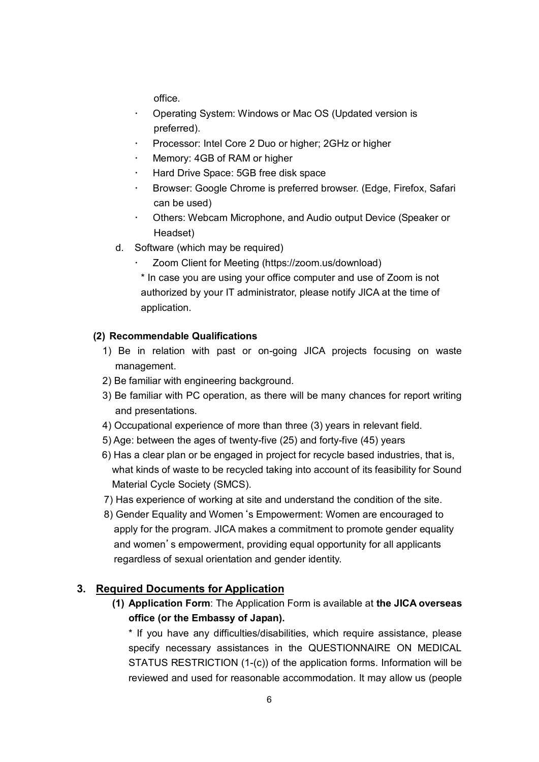office.

- Operating System: Windows or Mac OS (Updated version is preferred).
- Processor: Intel Core 2 Duo or higher; 2GHz or higher
- Memory: 4GB of RAM or higher
- Hard Drive Space: 5GB free disk space
- Browser: Google Chrome is preferred browser. (Edge, Firefox, Safari can be used)
- Others: Webcam Microphone, and Audio output Device (Speaker or Headset)
- d. Software (which may be required)
	- Zoom Client for Meeting (https://zoom.us/download)

\* In case you are using your office computer and use of Zoom is not authorized by your IT administrator, please notify JICA at the time of application.

#### **(2) Recommendable Qualifications**

- 1) Be in relation with past or on-going JICA projects focusing on waste management.
- 2) Be familiar with engineering background.
- 3) Be familiar with PC operation, as there will be many chances for report writing and presentations.
- 4) Occupational experience of more than three (3) years in relevant field.
- 5) Age: between the ages of twenty-five (25) and forty-five (45) years
- 6) Has a clear plan or be engaged in project for recycle based industries, that is, what kinds of waste to be recycled taking into account of its feasibility for Sound Material Cycle Society (SMCS).
- 7) Has experience of working at site and understand the condition of the site.
- 8) Gender Equality and Women's Empowerment: Women are encouraged to apply for the program. JICA makes a commitment to promote gender equality and women's empowerment, providing equal opportunity for all applicants regardless of sexual orientation and gender identity.

#### **3. Required Documents for Application**

**(1) Application Form**: The Application Form is available at **the JICA overseas office (or the Embassy of Japan).**

\* If you have any difficulties/disabilities, which require assistance, please specify necessary assistances in the QUESTIONNAIRE ON MEDICAL STATUS RESTRICTION (1-(c)) of the application forms. Information will be reviewed and used for reasonable accommodation. It may allow us (people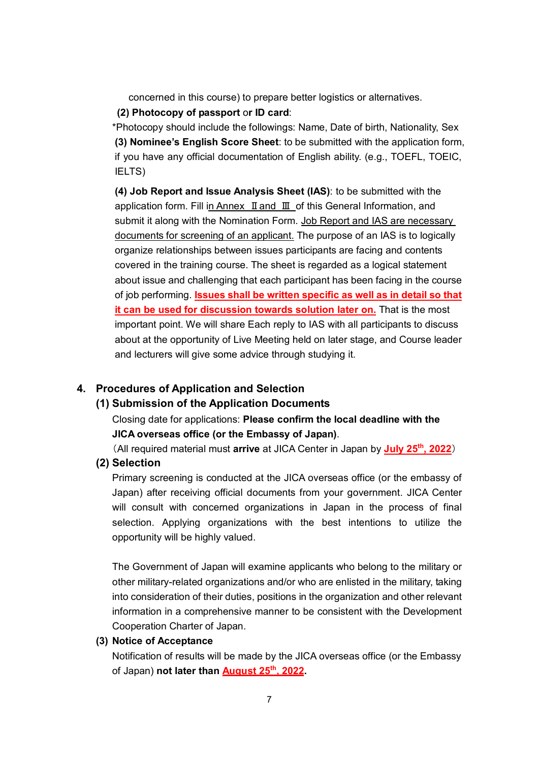concerned in this course) to prepare better logistics or alternatives.

**(2) Photocopy of passport** o**r ID card**:

\*Photocopy should include the followings: Name, Date of birth, Nationality, Sex **(3) Nominee's English Score Sheet**: to be submitted with the application form, if you have any official documentation of English ability. (e.g., TOEFL, TOEIC, IELTS)

**(4) Job Report and Issue Analysis Sheet (IAS)**: to be submitted with the application form. Fill in Annex Ⅱand Ⅲ of this General Information, and submit it along with the Nomination Form. Job Report and IAS are necessary documents for screening of an applicant. The purpose of an IAS is to logically organize relationships between issues participants are facing and contents covered in the training course. The sheet is regarded as a logical statement about issue and challenging that each participant has been facing in the course of job performing. **Issues shall be written specific as well as in detail so that it can be used for discussion towards solution later on.** That is the most important point. We will share Each reply to IAS with all participants to discuss about at the opportunity of Live Meeting held on later stage, and Course leader and lecturers will give some advice through studying it.

#### **4. Procedures of Application and Selection**

#### **(1) Submission of the Application Documents**

Closing date for applications: **Please confirm the local deadline with the JICA overseas office (or the Embassy of Japan)**.

(All required material must **arrive** at JICA Center in Japan by **July 25th , 2022**)

#### **(2) Selection**

Primary screening is conducted at the JICA overseas office (or the embassy of Japan) after receiving official documents from your government. JICA Center will consult with concerned organizations in Japan in the process of final selection. Applying organizations with the best intentions to utilize the opportunity will be highly valued.

The Government of Japan will examine applicants who belong to the military or other military-related organizations and/or who are enlisted in the military, taking into consideration of their duties, positions in the organization and other relevant information in a comprehensive manner to be consistent with the Development Cooperation Charter of Japan.

#### **(3) Notice of Acceptance**

Notification of results will be made by the JICA overseas office (or the Embassy of Japan) **not later than August 25th , 2022.**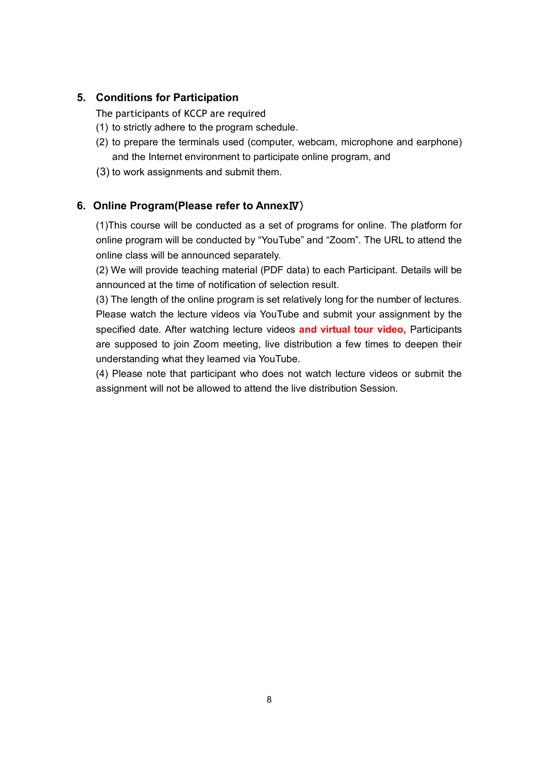#### **5. Conditions for Participation**

The participants of KCCP are required

- (1) to strictly adhere to the program schedule.
- (2) to prepare the terminals used (computer, webcam, microphone and earphone) and the Internet environment to participate online program, and
- (3) to work assignments and submit them.

#### **6. Online Program(Please refer to Annex**Ⅳ)

(1)This course will be conducted as a set of programs for online. The platform for online program will be conducted by "YouTube" and "Zoom". The URL to attend the online class will be announced separately.

(2) We will provide teaching material (PDF data) to each Participant. Details will be announced at the time of notification of selection result.

(3) The length of the online program is set relatively long for the number of lectures. Please watch the lecture videos via YouTube and submit your assignment by the specified date. After watching lecture videos **and virtual tour video,** Participants are supposed to join Zoom meeting, live distribution a few times to deepen their understanding what they learned via YouTube.

(4) Please note that participant who does not watch lecture videos or submit the assignment will not be allowed to attend the live distribution Session.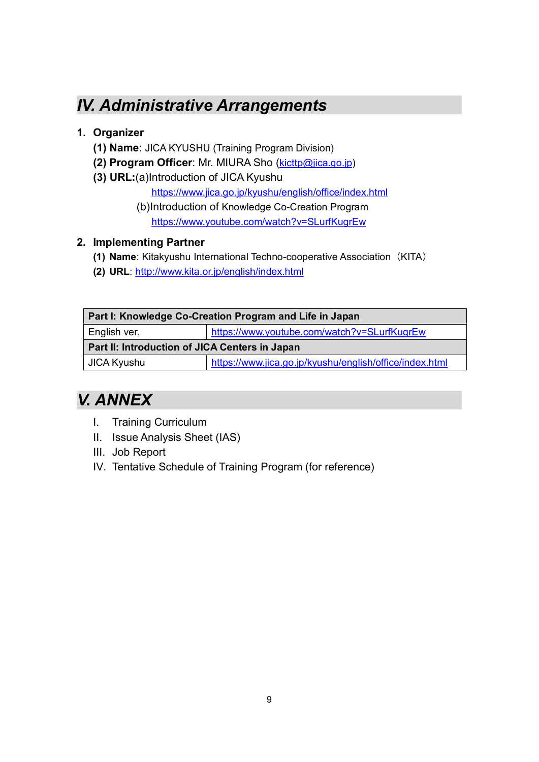# *IV. Administrative Arrangements*

## **1. Organizer**

- **(1) Name**: JICA KYUSHU (Training Program Division)
- **(2) Program Officer**: Mr. MIURA Sho (kicttp@jica.go.jp)
- **(3) URL:**(a)Introduction of JICA Kyushu

https://www.jica.go.jp/kyushu/english/office/index.html

(b)Introduction of Knowledge Co-Creation Program https://www.youtube.com/watch?v=SLurfKugrEw

### **2. Implementing Partner**

- **(1) Name**: Kitakyushu International Techno-cooperative Association(KITA)
- **(2) URL**: http://www.kita.or.jp/english/index.html

| Part I: Knowledge Co-Creation Program and Life in Japan |                                                         |  |
|---------------------------------------------------------|---------------------------------------------------------|--|
| English ver.                                            | https://www.youtube.com/watch?v=SLurfKugrEw             |  |
| Part II: Introduction of JICA Centers in Japan          |                                                         |  |
| JICA Kyushu                                             | https://www.jica.go.jp/kyushu/english/office/index.html |  |
|                                                         |                                                         |  |

# *V. ANNEX*

- I. Training Curriculum
- II. Issue Analysis Sheet (IAS)
- III. Job Report
- IV. Tentative Schedule of Training Program (for reference)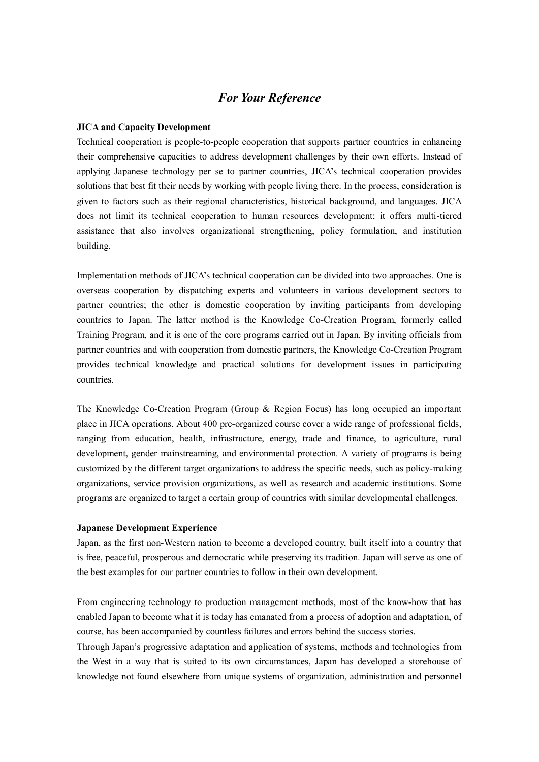#### *For Your Reference*

#### **JICA and Capacity Development**

Technical cooperation is people-to-people cooperation that supports partner countries in enhancing their comprehensive capacities to address development challenges by their own efforts. Instead of applying Japanese technology per se to partner countries, JICA's technical cooperation provides solutions that best fit their needs by working with people living there. In the process, consideration is given to factors such as their regional characteristics, historical background, and languages. JICA does not limit its technical cooperation to human resources development; it offers multi-tiered assistance that also involves organizational strengthening, policy formulation, and institution building.

Implementation methods of JICA's technical cooperation can be divided into two approaches. One is overseas cooperation by dispatching experts and volunteers in various development sectors to partner countries; the other is domestic cooperation by inviting participants from developing countries to Japan. The latter method is the Knowledge Co-Creation Program, formerly called Training Program, and it is one of the core programs carried out in Japan. By inviting officials from partner countries and with cooperation from domestic partners, the Knowledge Co-Creation Program provides technical knowledge and practical solutions for development issues in participating countries.

The Knowledge Co-Creation Program (Group & Region Focus) has long occupied an important place in JICA operations. About 400 pre-organized course cover a wide range of professional fields, ranging from education, health, infrastructure, energy, trade and finance, to agriculture, rural development, gender mainstreaming, and environmental protection. A variety of programs is being customized by the different target organizations to address the specific needs, such as policy-making organizations, service provision organizations, as well as research and academic institutions. Some programs are organized to target a certain group of countries with similar developmental challenges.

#### **Japanese Development Experience**

Japan, as the first non-Western nation to become a developed country, built itself into a country that is free, peaceful, prosperous and democratic while preserving its tradition. Japan will serve as one of the best examples for our partner countries to follow in their own development.

From engineering technology to production management methods, most of the know-how that has enabled Japan to become what it is today has emanated from a process of adoption and adaptation, of course, has been accompanied by countless failures and errors behind the success stories.

Through Japan's progressive adaptation and application of systems, methods and technologies from the West in a way that is suited to its own circumstances, Japan has developed a storehouse of knowledge not found elsewhere from unique systems of organization, administration and personnel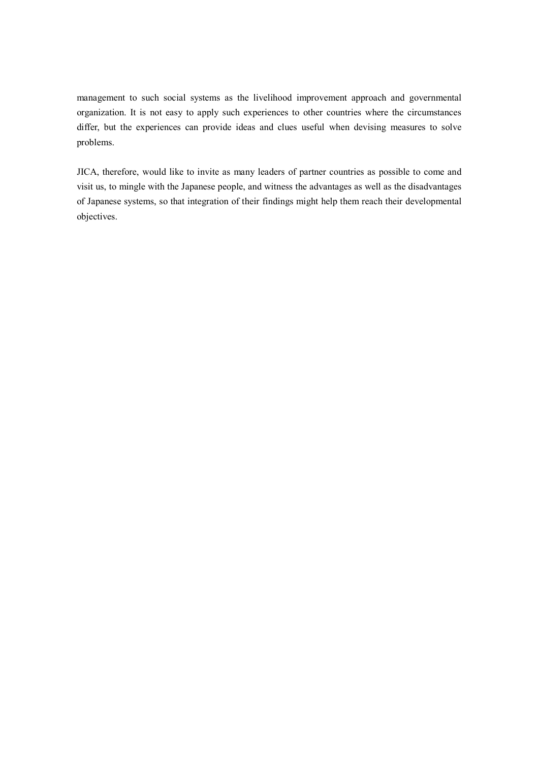management to such social systems as the livelihood improvement approach and governmental organization. It is not easy to apply such experiences to other countries where the circumstances differ, but the experiences can provide ideas and clues useful when devising measures to solve problems.

JICA, therefore, would like to invite as many leaders of partner countries as possible to come and visit us, to mingle with the Japanese people, and witness the advantages as well as the disadvantages of Japanese systems, so that integration of their findings might help them reach their developmental objectives.